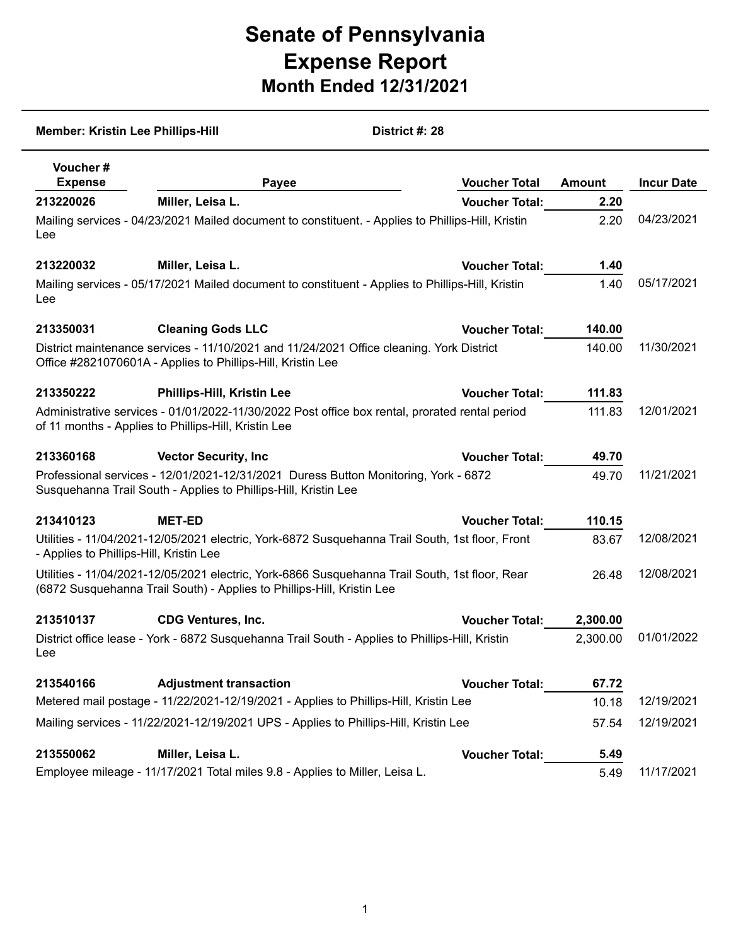## **Senate of Pennsylvania Expense Report Month Ended 12/31/2021**

| District #: 28<br><b>Member: Kristin Lee Phillips-Hill</b>                                                                                              |                                                                                                                                                                          |                       |               |                   |  |  |  |
|---------------------------------------------------------------------------------------------------------------------------------------------------------|--------------------------------------------------------------------------------------------------------------------------------------------------------------------------|-----------------------|---------------|-------------------|--|--|--|
| Voucher#<br><b>Expense</b>                                                                                                                              | Payee                                                                                                                                                                    | <b>Voucher Total</b>  | <b>Amount</b> | <b>Incur Date</b> |  |  |  |
| 213220026                                                                                                                                               | Miller, Leisa L.                                                                                                                                                         | <b>Voucher Total:</b> | 2.20          |                   |  |  |  |
| Mailing services - 04/23/2021 Mailed document to constituent. - Applies to Phillips-Hill, Kristin<br>Lee                                                | 2.20                                                                                                                                                                     | 04/23/2021            |               |                   |  |  |  |
| 213220032                                                                                                                                               | Miller, Leisa L.                                                                                                                                                         | <b>Voucher Total:</b> | 1.40          |                   |  |  |  |
| Lee                                                                                                                                                     | Mailing services - 05/17/2021 Mailed document to constituent - Applies to Phillips-Hill, Kristin                                                                         |                       | 1.40          | 05/17/2021        |  |  |  |
| 213350031                                                                                                                                               | <b>Cleaning Gods LLC</b>                                                                                                                                                 | <b>Voucher Total:</b> | 140.00        |                   |  |  |  |
| District maintenance services - 11/10/2021 and 11/24/2021 Office cleaning. York District<br>Office #2821070601A - Applies to Phillips-Hill, Kristin Lee | 140.00                                                                                                                                                                   | 11/30/2021            |               |                   |  |  |  |
| 213350222                                                                                                                                               | <b>Phillips-Hill, Kristin Lee</b>                                                                                                                                        | <b>Voucher Total:</b> | 111.83        |                   |  |  |  |
| Administrative services - 01/01/2022-11/30/2022 Post office box rental, prorated rental period<br>of 11 months - Applies to Phillips-Hill, Kristin Lee  | 111.83                                                                                                                                                                   | 12/01/2021            |               |                   |  |  |  |
| 213360168                                                                                                                                               | <b>Vector Security, Inc.</b>                                                                                                                                             | <b>Voucher Total:</b> | 49.70         |                   |  |  |  |
|                                                                                                                                                         | Professional services - 12/01/2021-12/31/2021 Duress Button Monitoring, York - 6872<br>Susquehanna Trail South - Applies to Phillips-Hill, Kristin Lee                   |                       | 49.70         | 11/21/2021        |  |  |  |
| 213410123                                                                                                                                               | <b>MET-ED</b>                                                                                                                                                            | <b>Voucher Total:</b> | 110.15        |                   |  |  |  |
| - Applies to Phillips-Hill, Kristin Lee                                                                                                                 | Utilities - 11/04/2021-12/05/2021 electric, York-6872 Susquehanna Trail South, 1st floor, Front                                                                          |                       | 83.67         | 12/08/2021        |  |  |  |
|                                                                                                                                                         | Utilities - 11/04/2021-12/05/2021 electric, York-6866 Susquehanna Trail South, 1st floor, Rear<br>(6872 Susquehanna Trail South) - Applies to Phillips-Hill, Kristin Lee |                       | 26.48         | 12/08/2021        |  |  |  |
| 213510137                                                                                                                                               | <b>CDG Ventures, Inc.</b>                                                                                                                                                | <b>Voucher Total:</b> | 2,300.00      |                   |  |  |  |
| Lee                                                                                                                                                     | District office lease - York - 6872 Susquehanna Trail South - Applies to Phillips-Hill, Kristin                                                                          |                       | 2,300.00      | 01/01/2022        |  |  |  |
| 213540166                                                                                                                                               | <b>Adjustment transaction</b>                                                                                                                                            | <b>Voucher Total:</b> | 67.72         |                   |  |  |  |
|                                                                                                                                                         | Metered mail postage - 11/22/2021-12/19/2021 - Applies to Phillips-Hill, Kristin Lee                                                                                     |                       | 10.18         | 12/19/2021        |  |  |  |
| Mailing services - 11/22/2021-12/19/2021 UPS - Applies to Phillips-Hill, Kristin Lee                                                                    |                                                                                                                                                                          |                       |               | 12/19/2021        |  |  |  |
| 213550062                                                                                                                                               | Miller, Leisa L.                                                                                                                                                         | <b>Voucher Total:</b> | 5.49          |                   |  |  |  |
|                                                                                                                                                         | Employee mileage - 11/17/2021 Total miles 9.8 - Applies to Miller, Leisa L.                                                                                              |                       | 5.49          | 11/17/2021        |  |  |  |